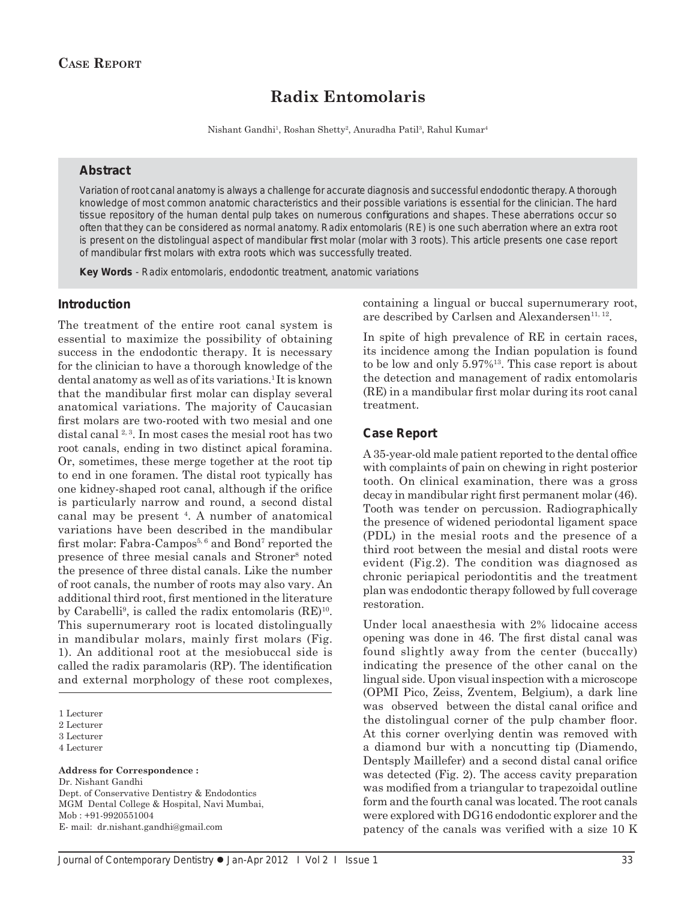# **Radix Entomolaris**

Nishant Gandhi<sup>1</sup>, Roshan Shetty<sup>2</sup>, Anuradha Patil<sup>3</sup>, Rahul Kumar<sup>4</sup>

#### **Abstract**

Variation of root canal anatomy is always a challenge for accurate diagnosis and successful endodontic therapy. A thorough knowledge of most common anatomic characteristics and their possible variations is essential for the clinician. The hard tissue repository of the human dental pulp takes on numerous configurations and shapes. These aberrations occur so often that they can be considered as normal anatomy. Radix entomolaris (RE) is one such aberration where an extra root is present on the distolingual aspect of mandibular first molar (molar with 3 roots). This article presents one case report of mandibular first molars with extra roots which was successfully treated.

*Key Words* - Radix entomolaris, endodontic treatment, anatomic variations

#### **Introduction**

The treatment of the entire root canal system is essential to maximize the possibility of obtaining success in the endodontic therapy. It is necessary for the clinician to have a thorough knowledge of the dental anatomy as well as of its variations.<sup>1</sup> It is known that the mandibular first molar can display several anatomical variations. The majority of Caucasian first molars are two-rooted with two mesial and one distal canal  $2,3$ . In most cases the mesial root has two root canals, ending in two distinct apical foramina. Or, sometimes, these merge together at the root tip to end in one foramen. The distal root typically has one kidney-shaped root canal, although if the orifice is particularly narrow and round, a second distal canal may be present 4. A number of anatomical variations have been described in the mandibular first molar: Fabra-Campos<sup>5, 6</sup> and Bond<sup>7</sup> reported the presence of three mesial canals and Stroner<sup>8</sup> noted the presence of three distal canals. Like the number of root canals, the number of roots may also vary. An additional third root, first mentioned in the literature by Carabelli<sup>9</sup>, is called the radix entomolaris (RE)<sup>10</sup>. This supernumerary root is located distolingually in mandibular molars, mainly first molars (Fig. 1). An additional root at the mesiobuccal side is called the radix paramolaris  $(RP)$ . The identification and external morphology of these root complexes,

1 Lecturer

4 Lecturer

**Address for Correspondence :** Dr. Nishant Gandhi Dept. of Conservative Dentistry & Endodontics MGM Dental College & Hospital, Navi Mumbai, Mob : +91-9920551004

E- mail: dr.nishant.gandhi@gmail.com

containing a lingual or buccal supernumerary root, are described by Carlsen and Alexandersen<sup>11, 12</sup>.

In spite of high prevalence of RE in certain races, its incidence among the Indian population is found to be low and only 5.97%13. This case report is about the detection and management of radix entomolaris  $(RE)$  in a mandibular first molar during its root canal treatment.

#### **Case Report**

A 35-year-old male patient reported to the dental office with complaints of pain on chewing in right posterior tooth. On clinical examination, there was a gross decay in mandibular right first permanent molar (46). Tooth was tender on percussion. Radiographically the presence of widened periodontal ligament space (PDL) in the mesial roots and the presence of a third root between the mesial and distal roots were evident (Fig.2). The condition was diagnosed as chronic periapical periodontitis and the treatment plan was endodontic therapy followed by full coverage restoration.

Under local anaesthesia with 2% lidocaine access opening was done in 46. The first distal canal was found slightly away from the center (buccally) indicating the presence of the other canal on the lingual side. Upon visual inspection with a microscope (OPMI Pico, Zeiss, Zventem, Belgium), a dark line was observed between the distal canal orifice and the distolingual corner of the pulp chamber floor. At this corner overlying dentin was removed with a diamond bur with a noncutting tip (Diamendo, Dentsply Maillefer) and a second distal canal orifice was detected (Fig. 2). The access cavity preparation was modified from a triangular to trapezoidal outline form and the fourth canal was located. The root canals were explored with DG16 endodontic explorer and the patency of the canals was verified with a size 10 K

<sup>2</sup> Lecturer

<sup>3</sup> Lecturer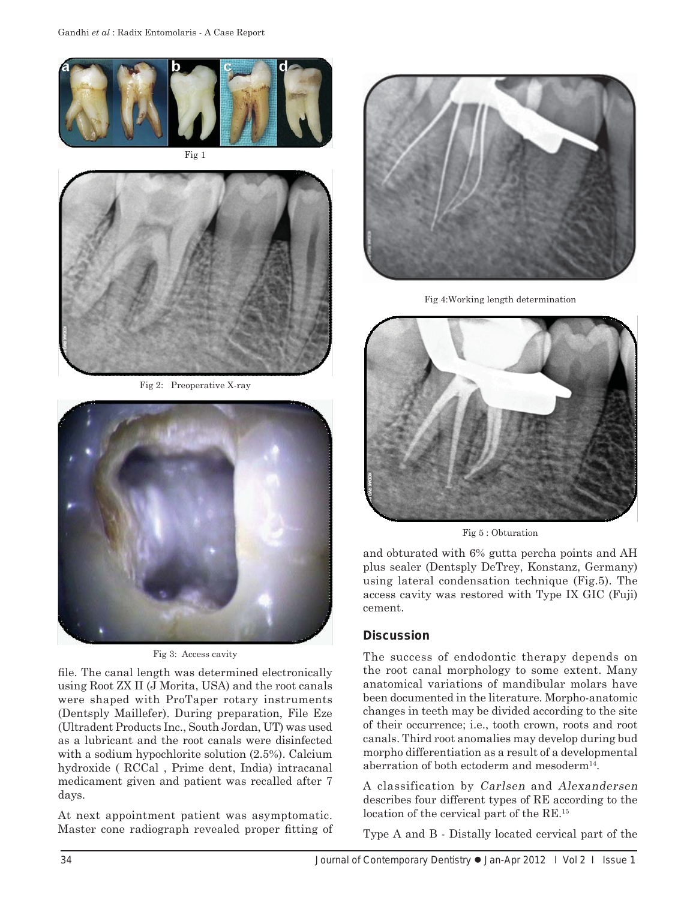

Fig 1



Fig 2: Preoperative X-ray



Fig 3: Access cavity

file. The canal length was determined electronically using Root ZX II (J Morita, USA) and the root canals were shaped with ProTaper rotary instruments (Dentsply Maillefer). During preparation, File Eze (Ultradent Products Inc., South Jordan, UT) was used as a lubricant and the root canals were disinfected with a sodium hypochlorite solution (2.5%). Calcium hydroxide ( RCCal , Prime dent, India) intracanal medicament given and patient was recalled after 7 days.

At next appointment patient was asymptomatic. Master cone radiograph revealed proper fitting of



Fig 4:Working length determination



Fig 5 : Obturation

and obturated with 6% gutta percha points and AH plus sealer (Dentsply DeTrey, Konstanz, Germany) using lateral condensation technique (Fig.5). The access cavity was restored with Type IX GIC (Fuji) cement.

## **Discussion**

The success of endodontic therapy depends on the root canal morphology to some extent. Many anatomical variations of mandibular molars have been documented in the literature. Morpho-anatomic changes in teeth may be divided according to the site of their occurrence; i.e., tooth crown, roots and root canals. Third root anomalies may develop during bud morpho differentiation as a result of a developmental aberration of both ectoderm and mesoderm $^{14}$ .

A classification by Carlsen and Alexandersen describes four different types of RE according to the location of the cervical part of the RE.<sup>15</sup>

Type A and B - Distally located cervical part of the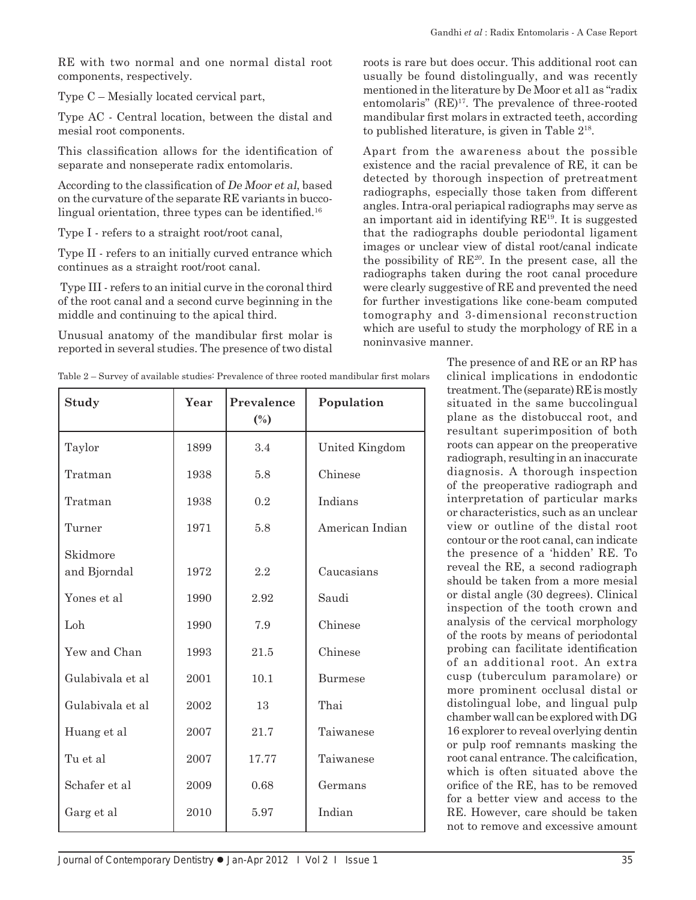RE with two normal and one normal distal root components, respectively.

Type C – Mesially located cervical part,

Type AC - Central location, between the distal and mesial root components.

This classification allows for the identification of separate and nonseperate radix entomolaris.

According to the classification of De Moor et al, based on the curvature of the separate RE variants in buccolingual orientation, three types can be identified.<sup>16</sup>

Type I - refers to a straight root/root canal,

Type II - refers to an initially curved entrance which continues as a straight root/root canal.

 Type III - refers to an initial curve in the coronal third of the root canal and a second curve beginning in the middle and continuing to the apical third.

Unusual anatomy of the mandibular first molar is reported in several studies. The presence of two distal roots is rare but does occur. This additional root can usually be found distolingually, and was recently mentioned in the literature by De Moor et al1 as "radix entomolaris"  $(RE)^{17}$ . The prevalence of three-rooted mandibular first molars in extracted teeth, according to published literature, is given in Table 218.

Apart from the awareness about the possible existence and the racial prevalence of RE, it can be detected by thorough inspection of pretreatment radiographs, especially those taken from different angles. Intra-oral periapical radiographs may serve as an important aid in identifying  $RE^{19}$ . It is suggested that the radiographs double periodontal ligament images or unclear view of distal root/canal indicate the possibility of  $RE^{20}$ . In the present case, all the radiographs taken during the root canal procedure were clearly suggestive of RE and prevented the need for further investigations like cone-beam computed tomography and 3-dimensional reconstruction which are useful to study the morphology of RE in a noninvasive manner.

| Study                    | Year | Prevalence<br>$\left(\frac{0}{0}\right)$ | Population      |
|--------------------------|------|------------------------------------------|-----------------|
| Taylor                   | 1899 | 3.4                                      | United Kingdom  |
| Tratman                  | 1938 | 5.8                                      | Chinese         |
| Tratman                  | 1938 | 0.2                                      | Indians         |
| Turner                   | 1971 | 5.8                                      | American Indian |
| Skidmore<br>and Bjorndal | 1972 | 2.2                                      | Caucasians      |
| Yones et al              | 1990 | 2.92                                     | Saudi           |
| Loh                      | 1990 | 7.9                                      | Chinese         |
| Yew and Chan             | 1993 | 21.5                                     | Chinese         |
| Gulabivala et al         | 2001 | 10.1                                     | <b>Burmese</b>  |
| Gulabivala et al         | 2002 | 13                                       | Thai            |
| Huang et al              | 2007 | 21.7                                     | Taiwanese       |
| Tu et al                 | 2007 | 17.77                                    | Taiwanese       |
| Schafer et al            | 2009 | 0.68                                     | Germans         |
| Garg et al               | 2010 | 5.97                                     | Indian          |

Table 2 – Survey of available studies: Prevalence of three rooted mandibular first molars

The presence of and RE or an RP has clinical implications in endodontic treatment. The (separate) RE is mostly situated in the same buccolingual plane as the distobuccal root, and resultant superimposition of both roots can appear on the preoperative radiograph, resulting in an inaccurate diagnosis. A thorough inspection of the preoperative radiograph and interpretation of particular marks or characteristics, such as an unclear view or outline of the distal root contour or the root canal, can indicate the presence of a 'hidden' RE. To reveal the RE, a second radiograph should be taken from a more mesial or distal angle (30 degrees). Clinical inspection of the tooth crown and analysis of the cervical morphology of the roots by means of periodontal probing can facilitate identification of an additional root. An extra cusp (tuberculum paramolare) or more prominent occlusal distal or distolingual lobe, and lingual pulp chamber wall can be explored with DG 16 explorer to reveal overlying dentin or pulp roof remnants masking the root canal entrance. The calcification, which is often situated above the orifice of the RE, has to be removed for a better view and access to the RE. However, care should be taken not to remove and excessive amount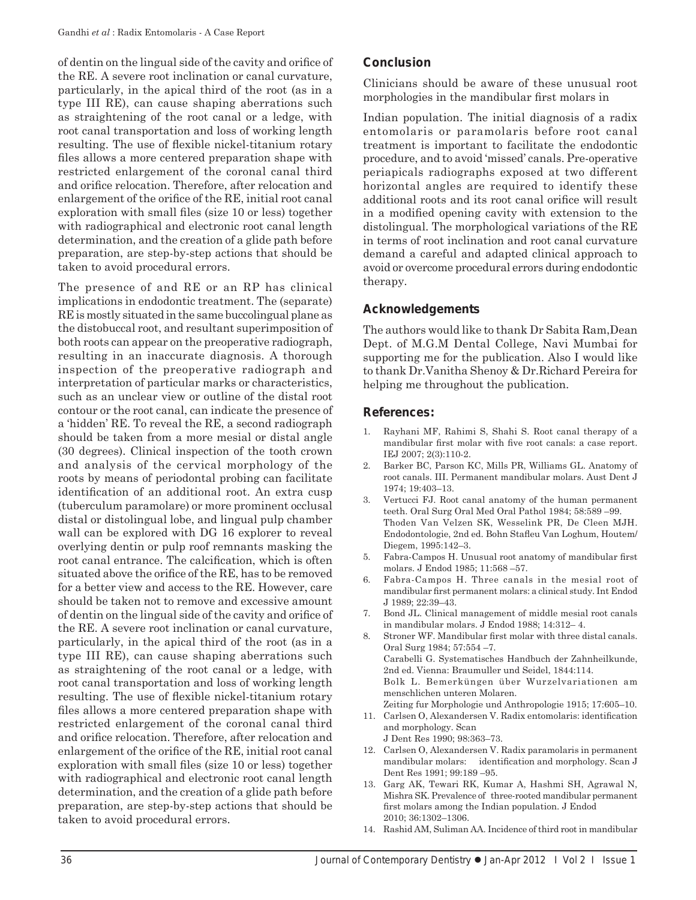of dentin on the lingual side of the cavity and orifice of the RE. A severe root inclination or canal curvature, particularly, in the apical third of the root (as in a type III RE), can cause shaping aberrations such as straightening of the root canal or a ledge, with root canal transportation and loss of working length resulting. The use of flexible nickel-titanium rotary files allows a more centered preparation shape with restricted enlargement of the coronal canal third and orifice relocation. Therefore, after relocation and enlargement of the orifice of the RE, initial root canal exploration with small files (size 10 or less) together with radiographical and electronic root canal length determination, and the creation of a glide path before preparation, are step-by-step actions that should be taken to avoid procedural errors.

The presence of and RE or an RP has clinical implications in endodontic treatment. The (separate) RE is mostly situated in the same buccolingual plane as the distobuccal root, and resultant superimposition of both roots can appear on the preoperative radiograph, resulting in an inaccurate diagnosis. A thorough inspection of the preoperative radiograph and interpretation of particular marks or characteristics, such as an unclear view or outline of the distal root contour or the root canal, can indicate the presence of a 'hidden' RE. To reveal the RE, a second radiograph should be taken from a more mesial or distal angle (30 degrees). Clinical inspection of the tooth crown and analysis of the cervical morphology of the roots by means of periodontal probing can facilitate identification of an additional root. An extra cusp (tuberculum paramolare) or more prominent occlusal distal or distolingual lobe, and lingual pulp chamber wall can be explored with DG 16 explorer to reveal overlying dentin or pulp roof remnants masking the root canal entrance. The calcification, which is often situated above the orifice of the RE, has to be removed for a better view and access to the RE. However, care should be taken not to remove and excessive amount of dentin on the lingual side of the cavity and orifice of the RE. A severe root inclination or canal curvature, particularly, in the apical third of the root (as in a type III RE), can cause shaping aberrations such as straightening of the root canal or a ledge, with root canal transportation and loss of working length resulting. The use of flexible nickel-titanium rotary files allows a more centered preparation shape with restricted enlargement of the coronal canal third and orifice relocation. Therefore, after relocation and enlargement of the orifice of the RE, initial root canal exploration with small files (size 10 or less) together with radiographical and electronic root canal length determination, and the creation of a glide path before preparation, are step-by-step actions that should be taken to avoid procedural errors.

## **Conclusion**

Clinicians should be aware of these unusual root morphologies in the mandibular first molars in

Indian population. The initial diagnosis of a radix entomolaris or paramolaris before root canal treatment is important to facilitate the endodontic procedure, and to avoid 'missed' canals. Pre-operative periapicals radiographs exposed at two different horizontal angles are required to identify these additional roots and its root canal orifice will result in a modified opening cavity with extension to the distolingual. The morphological variations of the RE in terms of root inclination and root canal curvature demand a careful and adapted clinical approach to avoid or overcome procedural errors during endodontic therapy.

## **Acknowledgements**

The authors would like to thank Dr Sabita Ram,Dean Dept. of M.G.M Dental College, Navi Mumbai for supporting me for the publication. Also I would like to thank Dr.Vanitha Shenoy & Dr.Richard Pereira for helping me throughout the publication.

## **References:**

- 1. Rayhani MF, Rahimi S, Shahi S. Root canal therapy of a mandibular first molar with five root canals: a case report. IEJ 2007; 2(3):110-2.
- 2. Barker BC, Parson KC, Mills PR, Williams GL. Anatomy of root canals. III. Permanent mandibular molars. Aust Dent J 1974; 19:403–13.
- 3. Vertucci FJ. Root canal anatomy of the human permanent teeth. Oral Surg Oral Med Oral Pathol 1984; 58:589 –99. Thoden Van Velzen SK, Wesselink PR, De Cleen MJH. Endodontologie, 2nd ed. Bohn Stafleu Van Loghum, Houtem/ Diegem, 1995:142–3.
- 5. Fabra-Campos H. Unusual root anatomy of mandibular first molars. J Endod 1985; 11:568 –57.
- 6. Fabra-Campos H. Three canals in the mesial root of mandibular first permanent molars: a clinical study. Int Endod J 1989; 22:39–43.
- 7. Bond JL. Clinical management of middle mesial root canals in mandibular molars. J Endod 1988; 14:312– 4.
- Stroner WF. Mandibular first molar with three distal canals. Oral Surg 1984; 57:554 –7. Carabelli G. Systematisches Handbuch der Zahnheilkunde, 2nd ed. Vienna: Braumuller und Seidel, 1844:114. Bolk L. Bemerküngen über Wurzelvariationen am menschlichen unteren Molaren. Zeiting fur Morphologie und Anthropologie 1915; 17:605–10.
- 11. Carlsen O, Alexandersen V. Radix entomolaris: identification and morphology. Scan J Dent Res 1990; 98:363–73.
- 12. Carlsen O, Alexandersen V. Radix paramolaris in permanent mandibular molars: identification and morphology. Scan J Dent Res 1991; 99:189 –95.
- 13. Garg AK, Tewari RK, Kumar A, Hashmi SH, Agrawal N, Mishra SK. Prevalence of three-rooted mandibular permanent first molars among the Indian population. J Endod 2010; 36:1302–1306.
- 14. Rashid AM, Suliman AA. Incidence of third root in mandibular